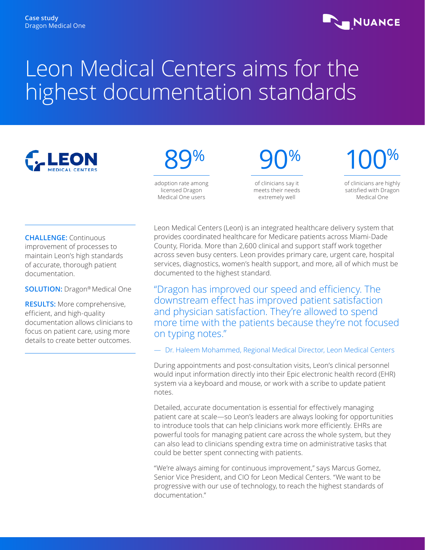# **NUANCE**

# Leon Medical Centers aims for the highest documentation standards



# 89%

adoption rate among licensed Dragon Medical One users

90%

of clinicians say it meets their needs extremely well

100%

of clinicians are highly satisfied with Dragon Medical One

**CHALLENGE:** Continuous improvement of processes to maintain Leon's high standards of accurate, thorough patient documentation.

**SOLUTION:** Dragon® Medical One

**RESULTS:** More comprehensive, efficient, and high-quality documentation allows clinicians to focus on patient care, using more details to create better outcomes.

Leon Medical Centers (Leon) is an integrated healthcare delivery system that provides coordinated healthcare for Medicare patients across Miami-Dade County, Florida. More than 2,600 clinical and support staff work together across seven busy centers. Leon provides primary care, urgent care, hospital services, diagnostics, women's health support, and more, all of which must be documented to the highest standard.

"Dragon has improved our speed and efficiency. The downstream effect has improved patient satisfaction and physician satisfaction. They're allowed to spend more time with the patients because they're not focused on typing notes."

— Dr. Haleem Mohammed, Regional Medical Director, Leon Medical Centers

During appointments and post-consultation visits, Leon's clinical personnel would input information directly into their Epic electronic health record (EHR) system via a keyboard and mouse, or work with a scribe to update patient notes.

Detailed, accurate documentation is essential for effectively managing patient care at scale—so Leon's leaders are always looking for opportunities to introduce tools that can help clinicians work more efficiently. EHRs are powerful tools for managing patient care across the whole system, but they can also lead to clinicians spending extra time on administrative tasks that could be better spent connecting with patients.

"We're always aiming for continuous improvement," says Marcus Gomez, Senior Vice President, and CIO for Leon Medical Centers. "We want to be progressive with our use of technology, to reach the highest standards of documentation."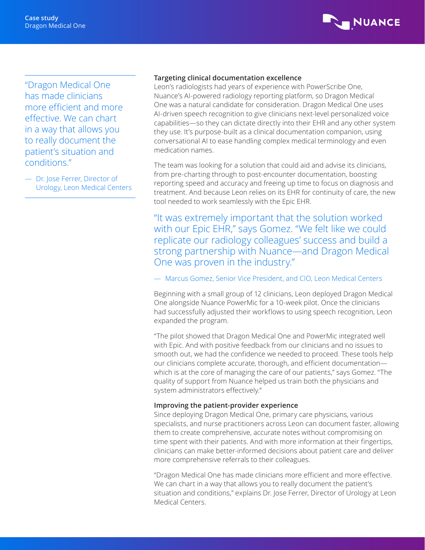

"Dragon Medical One has made clinicians more efficient and more effective. We can chart in a way that allows you to really document the patient's situation and conditions."

— Dr. Jose Ferrer, Director of Urology, Leon Medical Centers

# **Targeting clinical documentation excellence**

Leon's radiologists had years of experience with PowerScribe One, Nuance's AI-powered radiology reporting platform, so Dragon Medical One was a natural candidate for consideration. Dragon Medical One uses AI-driven speech recognition to give clinicians next-level personalized voice capabilities—so they can dictate directly into their EHR and any other system they use. It's purpose-built as a clinical documentation companion, using conversational AI to ease handling complex medical terminology and even medication names.

The team was looking for a solution that could aid and advise its clinicians, from pre-charting through to post-encounter documentation, boosting reporting speed and accuracy and freeing up time to focus on diagnosis and treatment. And because Leon relies on its EHR for continuity of care, the new tool needed to work seamlessly with the Epic EHR.

# "It was extremely important that the solution worked with our Epic EHR," says Gomez. "We felt like we could replicate our radiology colleagues' success and build a strong partnership with Nuance—and Dragon Medical One was proven in the industry."

## — Marcus Gomez, Senior Vice President, and CIO, Leon Medical Centers

Beginning with a small group of 12 clinicians, Leon deployed Dragon Medical One alongside Nuance PowerMic for a 10-week pilot. Once the clinicians had successfully adjusted their workflows to using speech recognition, Leon expanded the program.

"The pilot showed that Dragon Medical One and PowerMic integrated well with Epic. And with positive feedback from our clinicians and no issues to smooth out, we had the confidence we needed to proceed. These tools help our clinicians complete accurate, thorough, and efficient documentation which is at the core of managing the care of our patients," says Gomez. "The quality of support from Nuance helped us train both the physicians and system administrators effectively."

### **Improving the patient-provider experience**

Since deploying Dragon Medical One, primary care physicians, various specialists, and nurse practitioners across Leon can document faster, allowing them to create comprehensive, accurate notes without compromising on time spent with their patients. And with more information at their fingertips, clinicians can make better-informed decisions about patient care and deliver more comprehensive referrals to their colleagues.

"Dragon Medical One has made clinicians more efficient and more effective. We can chart in a way that allows you to really document the patient's situation and conditions," explains Dr. Jose Ferrer, Director of Urology at Leon Medical Centers.